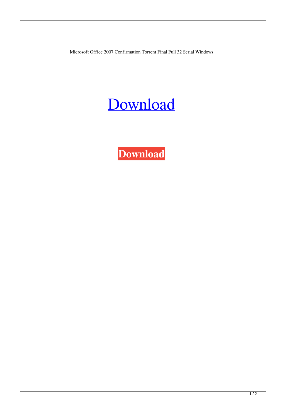Microsoft Office 2007 Confirmation Torrent Final Full 32 Serial Windows